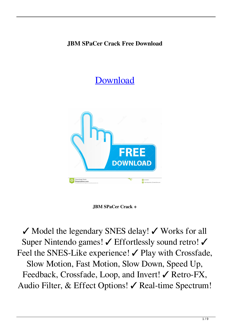## **JBM SPaCer Crack Free Download**

## [Download](http://evacdir.com/?amperage=SkJNIFNQYUNlcgSkJ&shizuoka=familes&ZG93bmxvYWR8eXExTTNONmRueDhNVFkxTkRVeU1qRXhNSHg4TWpVNU1IeDhLRTBwSUZkdmNtUndjbVZ6Y3lCYldFMU1VbEJESUZZeUlGQkVSbDA=&prominently=cachaca)



## **JBM SPaCer Crack +**

✓ Model the legendary SNES delay! ✓ Works for all Super Nintendo games! ∕ Effortlessly sound retro! ∕ Feel the SNES-Like experience!  $\checkmark$  Play with Crossfade, Slow Motion, Fast Motion, Slow Down, Speed Up, Feedback, Crossfade, Loop, and Invert! ∕ Retro-FX, Audio Filter, & Effect Options! ✓ Real-time Spectrum!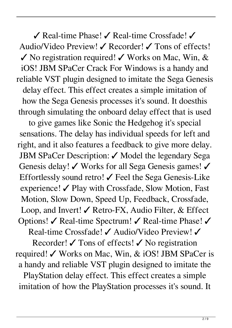✓ Real-time Phase! ✓ Real-time Crossfade! ✓ Audio/Video Preview! ✓ Recorder! ✓ Tons of effects!  $\checkmark$  No registration required!  $\checkmark$  Works on Mac, Win, & iOS! JBM SPaCer Crack For Windows is a handy and reliable VST plugin designed to imitate the Sega Genesis delay effect. This effect creates a simple imitation of how the Sega Genesis processes it's sound. It doesthis through simulating the onboard delay effect that is used

to give games like Sonic the Hedgehog it's special sensations. The delay has individual speeds for left and right, and it also features a feedback to give more delay. JBM SPaCer Description: ✓ Model the legendary Sega Genesis delay! ∕ Works for all Sega Genesis games! ∕ Effortlessly sound retro!  $\checkmark$  Feel the Sega Genesis-Like experience! ✓ Play with Crossfade, Slow Motion, Fast Motion, Slow Down, Speed Up, Feedback, Crossfade, Loop, and Invert!  $\checkmark$  Retro-FX, Audio Filter, & Effect Options! ✓ Real-time Spectrum! ✓ Real-time Phase! ✓

Real-time Crossfade! ✓ Audio/Video Preview! ✓

Recorder!  $\checkmark$  Tons of effects!  $\checkmark$  No registration required! ✓ Works on Mac, Win, & iOS! JBM SPaCer is a handy and reliable VST plugin designed to imitate the PlayStation delay effect. This effect creates a simple imitation of how the PlayStation processes it's sound. It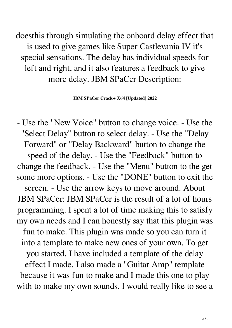doesthis through simulating the onboard delay effect that is used to give games like Super Castlevania IV it's special sensations. The delay has individual speeds for left and right, and it also features a feedback to give more delay. JBM SPaCer Description:

**JBM SPaCer Crack+ X64 [Updated] 2022**

- Use the "New Voice" button to change voice. - Use the "Select Delay" button to select delay. - Use the "Delay Forward" or "Delay Backward" button to change the speed of the delay. - Use the "Feedback" button to change the feedback. - Use the "Menu" button to the get some more options. - Use the "DONE" button to exit the screen. - Use the arrow keys to move around. About JBM SPaCer: JBM SPaCer is the result of a lot of hours programming. I spent a lot of time making this to satisfy my own needs and I can honestly say that this plugin was fun to make. This plugin was made so you can turn it into a template to make new ones of your own. To get you started, I have included a template of the delay effect I made. I also made a "Guitar Amp" template because it was fun to make and I made this one to play with to make my own sounds. I would really like to see a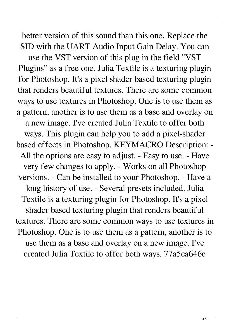better version of this sound than this one. Replace the SID with the UART Audio Input Gain Delay. You can

use the VST version of this plug in the field "VST Plugins" as a free one. Julia Textile is a texturing plugin for Photoshop. It's a pixel shader based texturing plugin that renders beautiful textures. There are some common ways to use textures in Photoshop. One is to use them as a pattern, another is to use them as a base and overlay on a new image. I've created Julia Textile to offer both ways. This plugin can help you to add a pixel-shader based effects in Photoshop. KEYMACRO Description: - All the options are easy to adjust. - Easy to use. - Have very few changes to apply. - Works on all Photoshop versions. - Can be installed to your Photoshop. - Have a long history of use. - Several presets included. Julia Textile is a texturing plugin for Photoshop. It's a pixel shader based texturing plugin that renders beautiful textures. There are some common ways to use textures in Photoshop. One is to use them as a pattern, another is to use them as a base and overlay on a new image. I've created Julia Textile to offer both ways. 77a5ca646e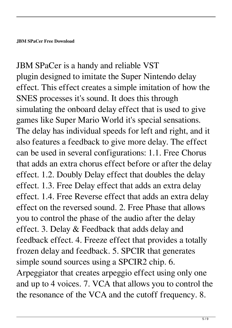JBM SPaCer is a handy and reliable VST plugin designed to imitate the Super Nintendo delay effect. This effect creates a simple imitation of how the SNES processes it's sound. It does this through simulating the onboard delay effect that is used to give games like Super Mario World it's special sensations. The delay has individual speeds for left and right, and it also features a feedback to give more delay. The effect can be used in several configurations: 1.1. Free Chorus that adds an extra chorus effect before or after the delay effect. 1.2. Doubly Delay effect that doubles the delay effect. 1.3. Free Delay effect that adds an extra delay effect. 1.4. Free Reverse effect that adds an extra delay effect on the reversed sound. 2. Free Phase that allows you to control the phase of the audio after the delay effect. 3. Delay & Feedback that adds delay and feedback effect. 4. Freeze effect that provides a totally frozen delay and feedback. 5. SPCIR that generates simple sound sources using a SPCIR2 chip. 6. Arpeggiator that creates arpeggio effect using only one and up to 4 voices. 7. VCA that allows you to control the the resonance of the VCA and the cutoff frequency. 8.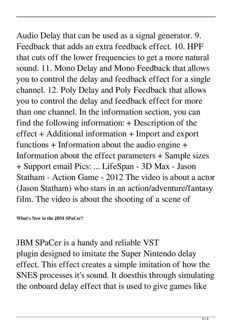Audio Delay that can be used as a signal generator. 9. Feedback that adds an extra feedback effect. 10. HPF that cuts off the lower frequencies to get a more natural sound. 11. Mono Delay and Mono Feedback that allows you to control the delay and feedback effect for a single channel. 12. Poly Delay and Poly Feedback that allows you to control the delay and feedback effect for more than one channel. In the information section, you can find the following information: + Description of the effect + Additional information + Import and export functions + Information about the audio engine + Information about the effect parameters + Sample sizes + Support email Pics: ... LifeSpan - 3D Max - Jason Statham - Action Game - 2012 The video is about a actor (Jason Statham) who stars in an action/adventure/fantasy film. The video is about the shooting of a scene of

**What's New in the JBM SPaCer?**

JBM SPaCer is a handy and reliable VST plugin designed to imitate the Super Nintendo delay effect. This effect creates a simple imitation of how the SNES processes it's sound. It doesthis through simulating the onboard delay effect that is used to give games like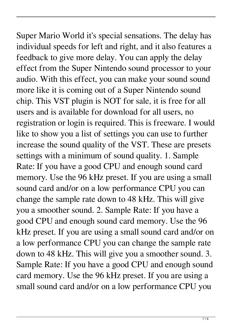Super Mario World it's special sensations. The delay has individual speeds for left and right, and it also features a feedback to give more delay. You can apply the delay effect from the Super Nintendo sound processor to your audio. With this effect, you can make your sound sound more like it is coming out of a Super Nintendo sound chip. This VST plugin is NOT for sale, it is free for all users and is available for download for all users, no registration or login is required. This is freeware. I would like to show you a list of settings you can use to further increase the sound quality of the VST. These are presets settings with a minimum of sound quality. 1. Sample Rate: If you have a good CPU and enough sound card memory. Use the 96 kHz preset. If you are using a small sound card and/or on a low performance CPU you can change the sample rate down to 48 kHz. This will give you a smoother sound. 2. Sample Rate: If you have a good CPU and enough sound card memory. Use the 96 kHz preset. If you are using a small sound card and/or on a low performance CPU you can change the sample rate down to 48 kHz. This will give you a smoother sound. 3. Sample Rate: If you have a good CPU and enough sound card memory. Use the 96 kHz preset. If you are using a small sound card and/or on a low performance CPU you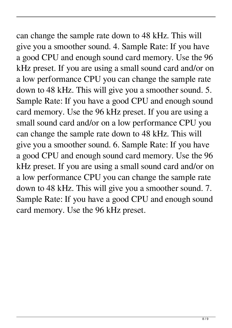can change the sample rate down to 48 kHz. This will give you a smoother sound. 4. Sample Rate: If you have a good CPU and enough sound card memory. Use the 96 kHz preset. If you are using a small sound card and/or on a low performance CPU you can change the sample rate down to 48 kHz. This will give you a smoother sound. 5. Sample Rate: If you have a good CPU and enough sound card memory. Use the 96 kHz preset. If you are using a small sound card and/or on a low performance CPU you can change the sample rate down to 48 kHz. This will give you a smoother sound. 6. Sample Rate: If you have a good CPU and enough sound card memory. Use the 96 kHz preset. If you are using a small sound card and/or on a low performance CPU you can change the sample rate down to 48 kHz. This will give you a smoother sound. 7. Sample Rate: If you have a good CPU and enough sound card memory. Use the 96 kHz preset.